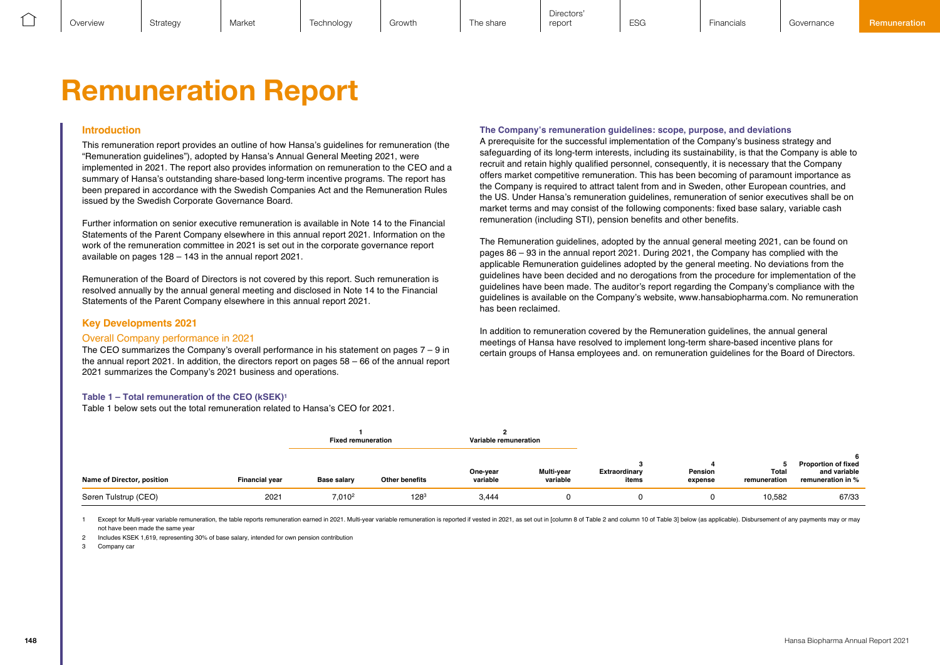**Directors** 

# **Remuneration Report**

# **Introduction**

This remuneration report provides an outline of how Hansa's guidelines for remuneration (the "Remuneration guidelines"), adopted by Hansa's Annual General Meeting 2021, were implemented in 2021. The report also provides information on remuneration to the CEO and a summary of Hansa's outstanding share-based long-term incentive programs. The report has been prepared in accordance with the Swedish Companies Act and the Remuneration Rules issued by the Swedish Corporate Governance Board.

Further information on senior executive remuneration is available in Note 14 to the Financial Statements of the Parent Company elsewhere in this annual report 2021. Information on the work of the remuneration committee in 2021 is set out in the corporate governance report available on pages 128 – 143 in the annual report 2021.

Remuneration of the Board of Directors is not covered by this report. Such remuneration is resolved annually by the annual general meeting and disclosed in Note 14 to the Financial Statements of the Parent Company elsewhere in this annual report 2021.

# **Key Developments 2021**

#### Overall Company performance in 2021

The CEO summarizes the Company's overall performance in his statement on pages 7 – 9 in the annual report 2021. In addition, the directors report on pages 58 – 66 of the annual report 2021 summarizes the Company's 2021 business and operations.

### **Table 1 – Total remuneration of the CEO (kSEK)1**

Table 1 below sets out the total remuneration related to Hansa's CEO for 2021.

#### **The Company's remuneration guidelines: scope, purpose, and deviations**

A prerequisite for the successful implementation of the Company's business strategy and safeguarding of its long-term interests, including its sustainability, is that the Company is able to recruit and retain highly qualified personnel, consequently, it is necessary that the Company offers market competitive remuneration. This has been becoming of paramount importance as the Company is required to attract talent from and in Sweden, other European countries, and the US. Under Hansa's remuneration guidelines, remuneration of senior executives shall be on market terms and may consist of the following components: fixed base salary, variable cash remuneration (including STI), pension benefits and other benefits.

The Remuneration guidelines, adopted by the annual general meeting 2021, can be found on pages 86 – 93 in the annual report 2021. During 2021, the Company has complied with the applicable Remuneration guidelines adopted by the general meeting. No deviations from the guidelines have been decided and no derogations from the procedure for implementation of the guidelines have been made. The auditor's report regarding the Company's compliance with the guidelines is available on the Company's website, www.hansabiopharma.com. No remuneration has been reclaimed.

In addition to remuneration covered by the Remuneration guidelines, the annual general meetings of Hansa have resolved to implement long-term share-based incentive plans for certain groups of Hansa employees and. on remuneration guidelines for the Board of Directors.

|                            |                       | <b>Fixed remuneration</b> |                       | Variable remuneration |                        |                        |                    |                       |                                                                 |
|----------------------------|-----------------------|---------------------------|-----------------------|-----------------------|------------------------|------------------------|--------------------|-----------------------|-----------------------------------------------------------------|
| Name of Director, position | <b>Financial vear</b> | <b>Base salary</b>        | <b>Other benefits</b> | One-year<br>variable  | Multi-year<br>variable | Extraordinary<br>items | Pension<br>expense | Total<br>remuneration | <b>Proportion of fixed</b><br>and variable<br>remuneration in % |
| Søren Tulstrup (CEO)       | 2021                  | 7,010 <sup>2</sup>        | $128^{3}$             | 3,444                 |                        |                        |                    | 10,582                | 67/33                                                           |

1 Except for Multi-vear variable remuneration, the table reports remuneration earned in 2021. Multi-vear variable remuneration is reported if vested in 2021, as set out in [column 8 of Table 2 and column 10 of Table 31 bel not have been made the same year

**1** Hansa Biopharma Annual Report 2021

2 Includes KSEK 1,619, representing 30% of base salary, intended for own pension contribution

3 Company car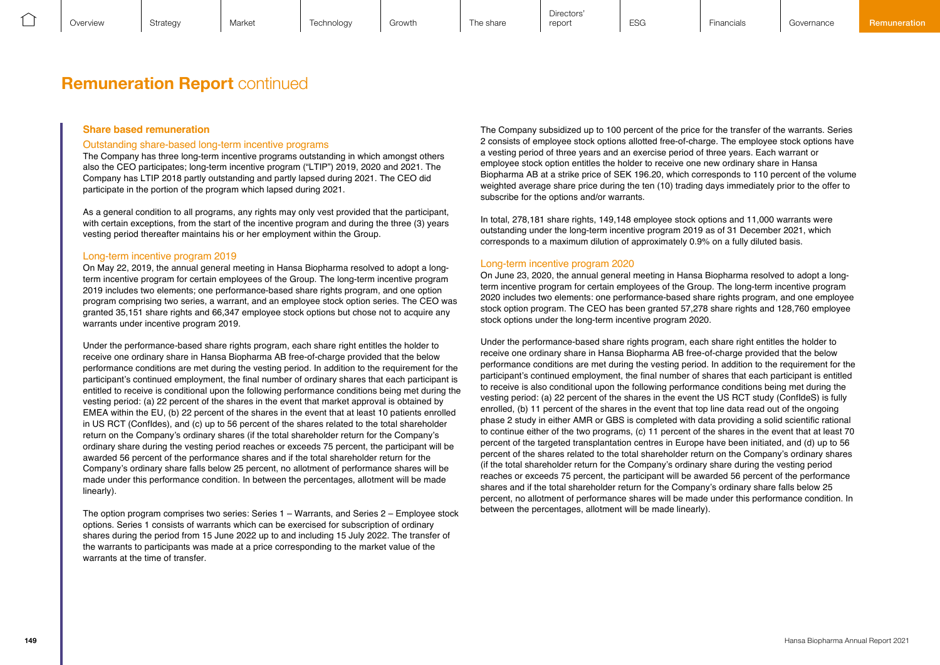**2** Hansa Biopharma Annual Report 2021

**Directors** 

# **Remuneration Report continued**

### **Share based remuneration**

### Outstanding share-based long-term incentive programs

The Company has three long-term incentive programs outstanding in which amongst others also the CEO participates; long-term incentive program ("LTIP") 2019, 2020 and 2021. The Company has LTIP 2018 partly outstanding and partly lapsed during 2021. The CEO did participate in the portion of the program which lapsed during 2021.

As a general condition to all programs, any rights may only vest provided that the participant, with certain exceptions, from the start of the incentive program and during the three (3) years vesting period thereafter maintains his or her employment within the Group.

### Long-term incentive program 2019

On May 22, 2019, the annual general meeting in Hansa Biopharma resolved to adopt a longterm incentive program for certain employees of the Group. The long-term incentive program 2019 includes two elements; one performance-based share rights program, and one option program comprising two series, a warrant, and an employee stock option series. The CEO was granted 35,151 share rights and 66,347 employee stock options but chose not to acquire any warrants under incentive program 2019.

Under the performance-based share rights program, each share right entitles the holder to receive one ordinary share in Hansa Biopharma AB free-of-charge provided that the below performance conditions are met during the vesting period. In addition to the requirement for the participant's continued employment, the final number of ordinary shares that each participant is entitled to receive is conditional upon the following performance conditions being met during the vesting period: (a) 22 percent of the shares in the event that market approval is obtained by EMEA within the EU, (b) 22 percent of the shares in the event that at least 10 patients enrolled in US RCT (ConfIdes), and (c) up to 56 percent of the shares related to the total shareholder return on the Company's ordinary shares (if the total shareholder return for the Company's ordinary share during the vesting period reaches or exceeds 75 percent, the participant will be awarded 56 percent of the performance shares and if the total shareholder return for the Company's ordinary share falls below 25 percent, no allotment of performance shares will be made under this performance condition. In between the percentages, allotment will be made linearly).

The option program comprises two series: Series 1 – Warrants, and Series 2 – Employee stock options. Series 1 consists of warrants which can be exercised for subscription of ordinary shares during the period from 15 June 2022 up to and including 15 July 2022. The transfer of the warrants to participants was made at a price corresponding to the market value of the warrants at the time of transfer.

The Company subsidized up to 100 percent of the price for the transfer of the warrants. Series 2 consists of employee stock options allotted free-of-charge. The employee stock options have a vesting period of three years and an exercise period of three years. Each warrant or employee stock option entitles the holder to receive one new ordinary share in Hansa Biopharma AB at a strike price of SEK 196.20, which corresponds to 110 percent of the volume weighted average share price during the ten (10) trading days immediately prior to the offer to subscribe for the options and/or warrants.

In total, 278,181 share rights, 149,148 employee stock options and 11,000 warrants were outstanding under the long-term incentive program 2019 as of 31 December 2021, which corresponds to a maximum dilution of approximately 0.9% on a fully diluted basis.

# Long-term incentive program 2020

On June 23, 2020, the annual general meeting in Hansa Biopharma resolved to adopt a longterm incentive program for certain employees of the Group. The long-term incentive program 2020 includes two elements: one performance-based share rights program, and one employee stock option program. The CEO has been granted 57,278 share rights and 128,760 employee stock options under the long-term incentive program 2020.

Under the performance-based share rights program, each share right entitles the holder to receive one ordinary share in Hansa Biopharma AB free-of-charge provided that the below performance conditions are met during the vesting period. In addition to the requirement for the participant's continued employment, the final number of shares that each participant is entitled to receive is also conditional upon the following performance conditions being met during the vesting period: (a) 22 percent of the shares in the event the US RCT study (ConfIdeS) is fully enrolled, (b) 11 percent of the shares in the event that top line data read out of the ongoing phase 2 study in either AMR or GBS is completed with data providing a solid scientific rational to continue either of the two programs, (c) 11 percent of the shares in the event that at least 70 percent of the targeted transplantation centres in Europe have been initiated, and (d) up to 56 percent of the shares related to the total shareholder return on the Company's ordinary shares (if the total shareholder return for the Company's ordinary share during the vesting period reaches or exceeds 75 percent, the participant will be awarded 56 percent of the performance shares and if the total shareholder return for the Company's ordinary share falls below 25 percent, no allotment of performance shares will be made under this performance condition. In between the percentages, allotment will be made linearly).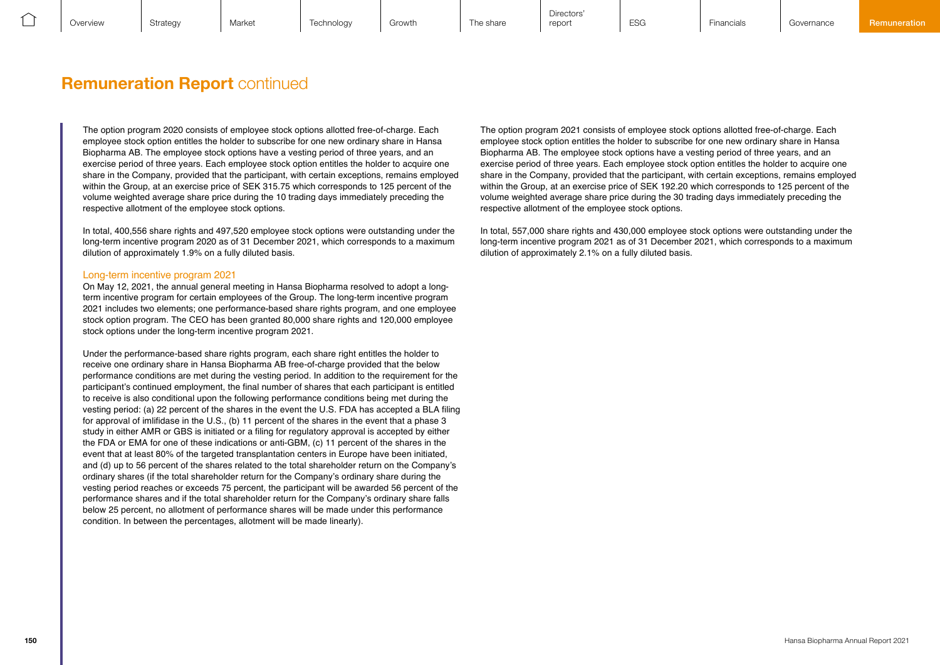**3** Hansa Biopharma Annual Report 2021

**Directors** 

# **Remuneration Report continued**

The option program 2020 consists of employee stock options allotted free-of-charge. Each employee stock option entitles the holder to subscribe for one new ordinary share in Hansa Biopharma AB. The employee stock options have a vesting period of three years, and an exercise period of three years. Each employee stock option entitles the holder to acquire one share in the Company, provided that the participant, with certain exceptions, remains employed within the Group, at an exercise price of SEK 315.75 which corresponds to 125 percent of the volume weighted average share price during the 10 trading days immediately preceding the respective allotment of the employee stock options.

In total, 400,556 share rights and 497,520 employee stock options were outstanding under the long-term incentive program 2020 as of 31 December 2021, which corresponds to a maximum dilution of approximately 1.9% on a fully diluted basis.

### Long-term incentive program 2021

On May 12, 2021, the annual general meeting in Hansa Biopharma resolved to adopt a longterm incentive program for certain employees of the Group. The long-term incentive program 2021 includes two elements; one performance-based share rights program, and one employee stock option program. The CEO has been granted 80,000 share rights and 120,000 employee stock options under the long-term incentive program 2021.

Under the performance-based share rights program, each share right entitles the holder to receive one ordinary share in Hansa Biopharma AB free-of-charge provided that the below performance conditions are met during the vesting period. In addition to the requirement for the participant's continued employment, the final number of shares that each participant is entitled to receive is also conditional upon the following performance conditions being met during the vesting period: (a) 22 percent of the shares in the event the U.S. FDA has accepted a BLA filing for approval of imlifidase in the U.S., (b) 11 percent of the shares in the event that a phase 3 study in either AMR or GBS is initiated or a filing for regulatory approval is accepted by either the FDA or EMA for one of these indications or anti-GBM, (c) 11 percent of the shares in the event that at least 80% of the targeted transplantation centers in Europe have been initiated, and (d) up to 56 percent of the shares related to the total shareholder return on the Company's ordinary shares (if the total shareholder return for the Company's ordinary share during the vesting period reaches or exceeds 75 percent, the participant will be awarded 56 percent of the performance shares and if the total shareholder return for the Company's ordinary share falls below 25 percent, no allotment of performance shares will be made under this performance condition. In between the percentages, allotment will be made linearly).

The option program 2021 consists of employee stock options allotted free-of-charge. Each employee stock option entitles the holder to subscribe for one new ordinary share in Hansa Biopharma AB. The employee stock options have a vesting period of three years, and an exercise period of three years. Each employee stock option entitles the holder to acquire one share in the Company, provided that the participant, with certain exceptions, remains employed within the Group, at an exercise price of SEK 192.20 which corresponds to 125 percent of the volume weighted average share price during the 30 trading days immediately preceding the respective allotment of the employee stock options.

In total, 557,000 share rights and 430,000 employee stock options were outstanding under the long-term incentive program 2021 as of 31 December 2021, which corresponds to a maximum dilution of approximately 2.1% on a fully diluted basis.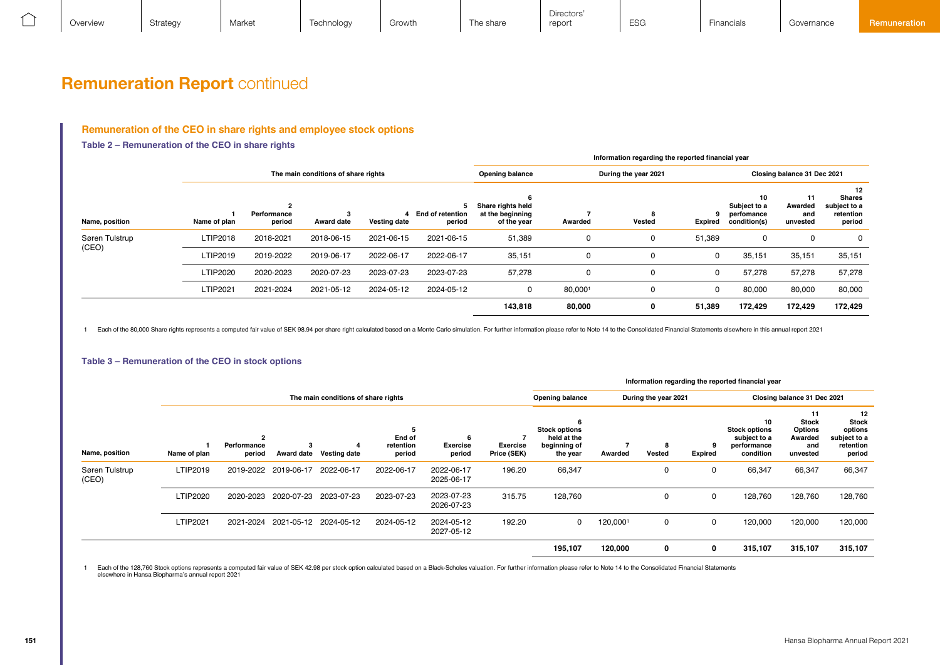| Overview | Strategy | Market | rechnology | Growth | The share | Directors<br>.<br>report | ESG | $-$<br>Financials | Governance |  |
|----------|----------|--------|------------|--------|-----------|--------------------------|-----|-------------------|------------|--|
|----------|----------|--------|------------|--------|-----------|--------------------------|-----|-------------------|------------|--|

# **Remuneration Report continued**

# **Remuneration of the CEO in share rights and employee stock options**

**Table 2 – Remuneration of the CEO in share rights**

|                |              |                            |                                     |              |                                   | Information regarding the reported financial year         |         |                      |         |                                                  |                                  |                                                            |  |
|----------------|--------------|----------------------------|-------------------------------------|--------------|-----------------------------------|-----------------------------------------------------------|---------|----------------------|---------|--------------------------------------------------|----------------------------------|------------------------------------------------------------|--|
|                |              |                            | The main conditions of share rights |              |                                   | Opening balance                                           |         | During the year 2021 |         |                                                  | Closing balance 31 Dec 2021      |                                                            |  |
| Name, position | Name of plan | 2<br>Performance<br>period | <b>Award date</b>                   | Vesting date | 5<br>4 End of retention<br>period | 6<br>Share rights held<br>at the beginning<br>of the year | Awarded | Vested               | Expired | 10<br>Subject to a<br>perfomance<br>condition(s) | 11<br>Awarded<br>and<br>unvested | 12<br><b>Shares</b><br>subject to a<br>retention<br>period |  |
| Søren Tulstrup | LTIP2018     | 2018-2021                  | 2018-06-15                          | 2021-06-15   | 2021-06-15                        | 51,389                                                    | 0       | 0                    | 51,389  | 0                                                | $\Omega$                         | 0                                                          |  |
| (CEO)          | LTIP2019     | 2019-2022                  | 2019-06-17                          | 2022-06-17   | 2022-06-17                        | 35,151                                                    | 0       | 0                    | 0       | 35,151                                           | 35,151                           | 35,151                                                     |  |
|                | LTIP2020     | 2020-2023                  | 2020-07-23                          | 2023-07-23   | 2023-07-23                        | 57,278                                                    | 0       | 0                    | 0       | 57,278                                           | 57,278                           | 57,278                                                     |  |
|                | LTIP2021     | 2021-2024                  | 2021-05-12                          | 2024-05-12   | 2024-05-12                        | 0                                                         | 80,0001 | 0                    | 0       | 80,000                                           | 80,000                           | 80,000                                                     |  |
|                |              |                            |                                     |              |                                   | 143,818                                                   | 80,000  | 0                    | 51,389  | 172,429                                          | 172,429                          | 172,429                                                    |  |

1 2021 Each of the 80,000 Share rights represents a computed fair value of SEK 98.94 per share right calculated based on a Monte Carlo simulation. For further information please refer to Note 14 to the Consolidated Financi

|                         |              |                                         |                   |                                     |                                    |                                |                                |                                                                      |          |                      |                      | Information regarding the reported financial year                      |                                                                    |                                                                      |
|-------------------------|--------------|-----------------------------------------|-------------------|-------------------------------------|------------------------------------|--------------------------------|--------------------------------|----------------------------------------------------------------------|----------|----------------------|----------------------|------------------------------------------------------------------------|--------------------------------------------------------------------|----------------------------------------------------------------------|
|                         |              |                                         |                   | The main conditions of share rights |                                    |                                |                                | Opening balance                                                      |          | During the year 2021 |                      |                                                                        | Closing balance 31 Dec 2021                                        |                                                                      |
| Name, position          | Name of plan | $\overline{2}$<br>Performance<br>period | <b>Award date</b> | Vesting date                        | 5<br>End of<br>retention<br>period | 6<br><b>Exercise</b><br>period | <b>Exercise</b><br>Price (SEK) | 6<br><b>Stock options</b><br>held at the<br>beginning of<br>the year | Awarded  | 8<br>Vested          | -9<br><b>Expired</b> | 10<br><b>Stock options</b><br>subject to a<br>performance<br>condition | 11<br><b>Stock</b><br><b>Options</b><br>Awarded<br>and<br>unvested | 12<br><b>Stock</b><br>options<br>subject to a<br>retention<br>period |
| Søren Tulstrup<br>(CEO) | LTIP2019     | 2019-2022                               | 2019-06-17        | 2022-06-17                          | 2022-06-17                         | 2022-06-17<br>2025-06-17       | 196.20                         | 66,347                                                               |          | 0                    | 0                    | 66,347                                                                 | 66,347                                                             | 66,347                                                               |
|                         | LTIP2020     | 2020-2023                               | 2020-07-23        | 2023-07-23                          | 2023-07-23                         | 2023-07-23<br>2026-07-23       | 315.75                         | 128,760                                                              |          | 0                    | 0                    | 128,760                                                                | 128,760                                                            | 128,760                                                              |
|                         | LTIP2021     | 2021-2024                               | 2021-05-12        | 2024-05-12                          | 2024-05-12                         | 2024-05-12<br>2027-05-12       | 192.20                         | 0                                                                    | 120,0001 | 0                    | $\mathbf 0$          | 120,000                                                                | 120,000                                                            | 120,000                                                              |
|                         |              |                                         |                   |                                     |                                    |                                |                                | 195,107                                                              | 120,000  | $\mathbf 0$          | 0                    | 315,107                                                                | 315,107                                                            | 315,107                                                              |

**4** Hansa Biopharma Annual Report 2021

1 Each of the 128,760 Stock options represents a computed fair value of SEK 42.98 per stock option calculated based on a Black-Scholes valuation. For further information please refer to Note 14 to the Consolidated Financia